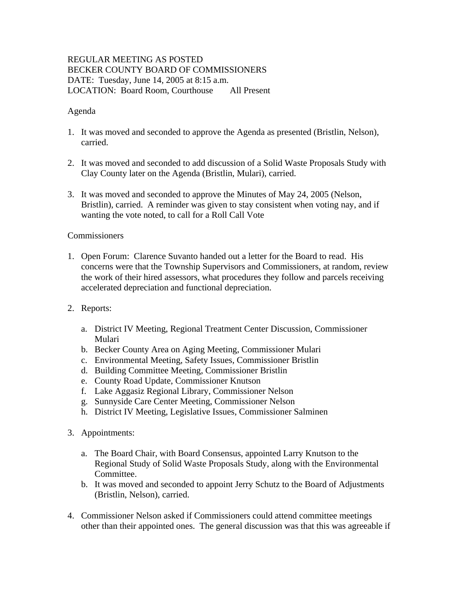## REGULAR MEETING AS POSTED BECKER COUNTY BOARD OF COMMISSIONERS DATE: Tuesday, June 14, 2005 at 8:15 a.m. LOCATION: Board Room, Courthouse All Present

## Agenda

- 1. It was moved and seconded to approve the Agenda as presented (Bristlin, Nelson), carried.
- 2. It was moved and seconded to add discussion of a Solid Waste Proposals Study with Clay County later on the Agenda (Bristlin, Mulari), carried.
- 3. It was moved and seconded to approve the Minutes of May 24, 2005 (Nelson, Bristlin), carried. A reminder was given to stay consistent when voting nay, and if wanting the vote noted, to call for a Roll Call Vote

## **Commissioners**

- 1. Open Forum: Clarence Suvanto handed out a letter for the Board to read. His concerns were that the Township Supervisors and Commissioners, at random, review the work of their hired assessors, what procedures they follow and parcels receiving accelerated depreciation and functional depreciation.
- 2. Reports:
	- a. District IV Meeting, Regional Treatment Center Discussion, Commissioner Mulari
	- b. Becker County Area on Aging Meeting, Commissioner Mulari
	- c. Environmental Meeting, Safety Issues, Commissioner Bristlin
	- d. Building Committee Meeting, Commissioner Bristlin
	- e. County Road Update, Commissioner Knutson
	- f. Lake Aggasiz Regional Library, Commissioner Nelson
	- g. Sunnyside Care Center Meeting, Commissioner Nelson
	- h. District IV Meeting, Legislative Issues, Commissioner Salminen
- 3. Appointments:
	- a. The Board Chair, with Board Consensus, appointed Larry Knutson to the Regional Study of Solid Waste Proposals Study, along with the Environmental Committee.
	- b. It was moved and seconded to appoint Jerry Schutz to the Board of Adjustments (Bristlin, Nelson), carried.
- 4. Commissioner Nelson asked if Commissioners could attend committee meetings other than their appointed ones. The general discussion was that this was agreeable if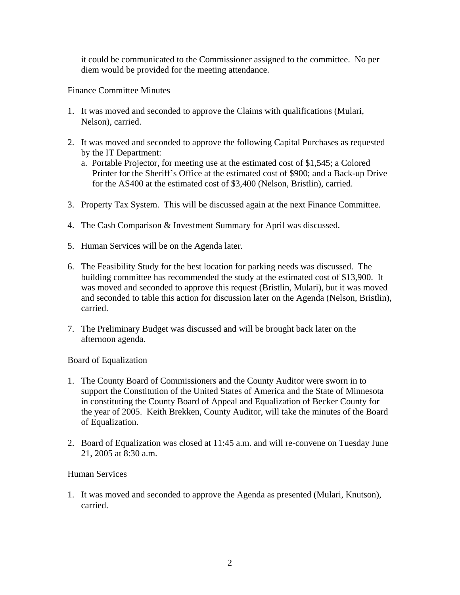it could be communicated to the Commissioner assigned to the committee. No per diem would be provided for the meeting attendance.

Finance Committee Minutes

- 1. It was moved and seconded to approve the Claims with qualifications (Mulari, Nelson), carried.
- 2. It was moved and seconded to approve the following Capital Purchases as requested by the IT Department:
	- a. Portable Projector, for meeting use at the estimated cost of \$1,545; a Colored Printer for the Sheriff's Office at the estimated cost of \$900; and a Back-up Drive for the AS400 at the estimated cost of \$3,400 (Nelson, Bristlin), carried.
- 3. Property Tax System. This will be discussed again at the next Finance Committee.
- 4. The Cash Comparison & Investment Summary for April was discussed.
- 5. Human Services will be on the Agenda later.
- 6. The Feasibility Study for the best location for parking needs was discussed. The building committee has recommended the study at the estimated cost of \$13,900. It was moved and seconded to approve this request (Bristlin, Mulari), but it was moved and seconded to table this action for discussion later on the Agenda (Nelson, Bristlin), carried.
- 7. The Preliminary Budget was discussed and will be brought back later on the afternoon agenda.

Board of Equalization

- 1. The County Board of Commissioners and the County Auditor were sworn in to support the Constitution of the United States of America and the State of Minnesota in constituting the County Board of Appeal and Equalization of Becker County for the year of 2005. Keith Brekken, County Auditor, will take the minutes of the Board of Equalization.
- 2. Board of Equalization was closed at 11:45 a.m. and will re-convene on Tuesday June 21, 2005 at 8:30 a.m.

## Human Services

1. It was moved and seconded to approve the Agenda as presented (Mulari, Knutson), carried.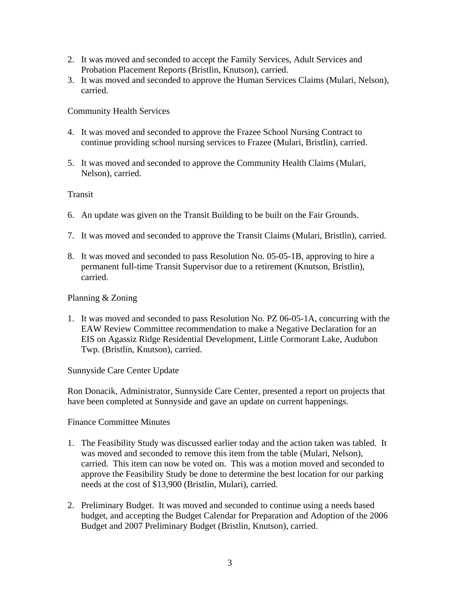- 2. It was moved and seconded to accept the Family Services, Adult Services and Probation Placement Reports (Bristlin, Knutson), carried.
- 3. It was moved and seconded to approve the Human Services Claims (Mulari, Nelson), carried.

Community Health Services

- 4. It was moved and seconded to approve the Frazee School Nursing Contract to continue providing school nursing services to Frazee (Mulari, Bristlin), carried.
- 5. It was moved and seconded to approve the Community Health Claims (Mulari, Nelson), carried.

**Transit** 

- 6. An update was given on the Transit Building to be built on the Fair Grounds.
- 7. It was moved and seconded to approve the Transit Claims (Mulari, Bristlin), carried.
- 8. It was moved and seconded to pass Resolution No. 05-05-1B, approving to hire a permanent full-time Transit Supervisor due to a retirement (Knutson, Bristlin), carried.

Planning & Zoning

1. It was moved and seconded to pass Resolution No. PZ 06-05-1A, concurring with the EAW Review Committee recommendation to make a Negative Declaration for an EIS on Agassiz Ridge Residential Development, Little Cormorant Lake, Audubon Twp. (Bristlin, Knutson), carried.

Sunnyside Care Center Update

Ron Donacik, Administrator, Sunnyside Care Center, presented a report on projects that have been completed at Sunnyside and gave an update on current happenings.

Finance Committee Minutes

- 1. The Feasibility Study was discussed earlier today and the action taken was tabled. It was moved and seconded to remove this item from the table (Mulari, Nelson), carried. This item can now be voted on. This was a motion moved and seconded to approve the Feasibility Study be done to determine the best location for our parking needs at the cost of \$13,900 (Bristlin, Mulari), carried.
- 2. Preliminary Budget. It was moved and seconded to continue using a needs based budget, and accepting the Budget Calendar for Preparation and Adoption of the 2006 Budget and 2007 Preliminary Budget (Bristlin, Knutson), carried.